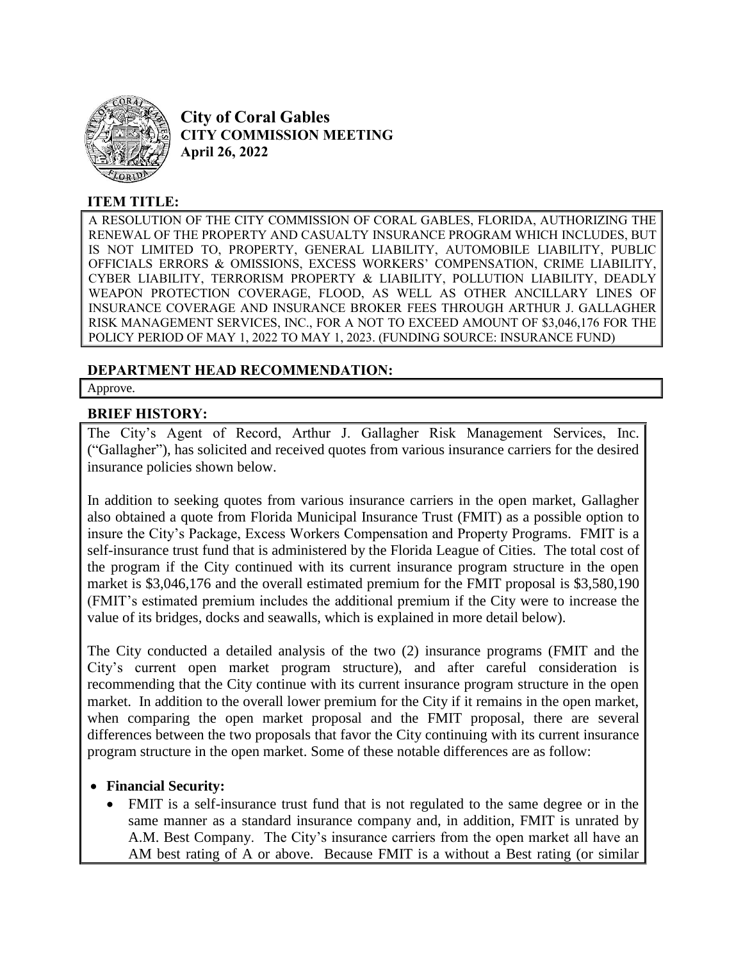

**City of Coral Gables CITY COMMISSION MEETING April 26, 2022**

# **ITEM TITLE:**

A RESOLUTION OF THE CITY COMMISSION OF CORAL GABLES, FLORIDA, AUTHORIZING THE RENEWAL OF THE PROPERTY AND CASUALTY INSURANCE PROGRAM WHICH INCLUDES, BUT IS NOT LIMITED TO, PROPERTY, GENERAL LIABILITY, AUTOMOBILE LIABILITY, PUBLIC OFFICIALS ERRORS & OMISSIONS, EXCESS WORKERS' COMPENSATION, CRIME LIABILITY, CYBER LIABILITY, TERRORISM PROPERTY & LIABILITY, POLLUTION LIABILITY, DEADLY WEAPON PROTECTION COVERAGE, FLOOD, AS WELL AS OTHER ANCILLARY LINES OF INSURANCE COVERAGE AND INSURANCE BROKER FEES THROUGH ARTHUR J. GALLAGHER RISK MANAGEMENT SERVICES, INC., FOR A NOT TO EXCEED AMOUNT OF \$3,046,176 FOR THE POLICY PERIOD OF MAY 1, 2022 TO MAY 1, 2023. (FUNDING SOURCE: INSURANCE FUND)

## **DEPARTMENT HEAD RECOMMENDATION:**

Approve.

#### **BRIEF HISTORY:**

The City's Agent of Record, Arthur J. Gallagher Risk Management Services, Inc. ("Gallagher"), has solicited and received quotes from various insurance carriers for the desired insurance policies shown below.

In addition to seeking quotes from various insurance carriers in the open market, Gallagher also obtained a quote from Florida Municipal Insurance Trust (FMIT) as a possible option to insure the City's Package, Excess Workers Compensation and Property Programs. FMIT is a self-insurance trust fund that is administered by the Florida League of Cities. The total cost of the program if the City continued with its current insurance program structure in the open market is \$3,046,176 and the overall estimated premium for the FMIT proposal is \$3,580,190 (FMIT's estimated premium includes the additional premium if the City were to increase the value of its bridges, docks and seawalls, which is explained in more detail below).

The City conducted a detailed analysis of the two (2) insurance programs (FMIT and the City's current open market program structure), and after careful consideration is recommending that the City continue with its current insurance program structure in the open market. In addition to the overall lower premium for the City if it remains in the open market, when comparing the open market proposal and the FMIT proposal, there are several differences between the two proposals that favor the City continuing with its current insurance program structure in the open market. Some of these notable differences are as follow:

#### **Financial Security:**

 FMIT is a self-insurance trust fund that is not regulated to the same degree or in the same manner as a standard insurance company and, in addition, FMIT is unrated by A.M. Best Company. The City's insurance carriers from the open market all have an AM best rating of A or above. Because FMIT is a without a Best rating (or similar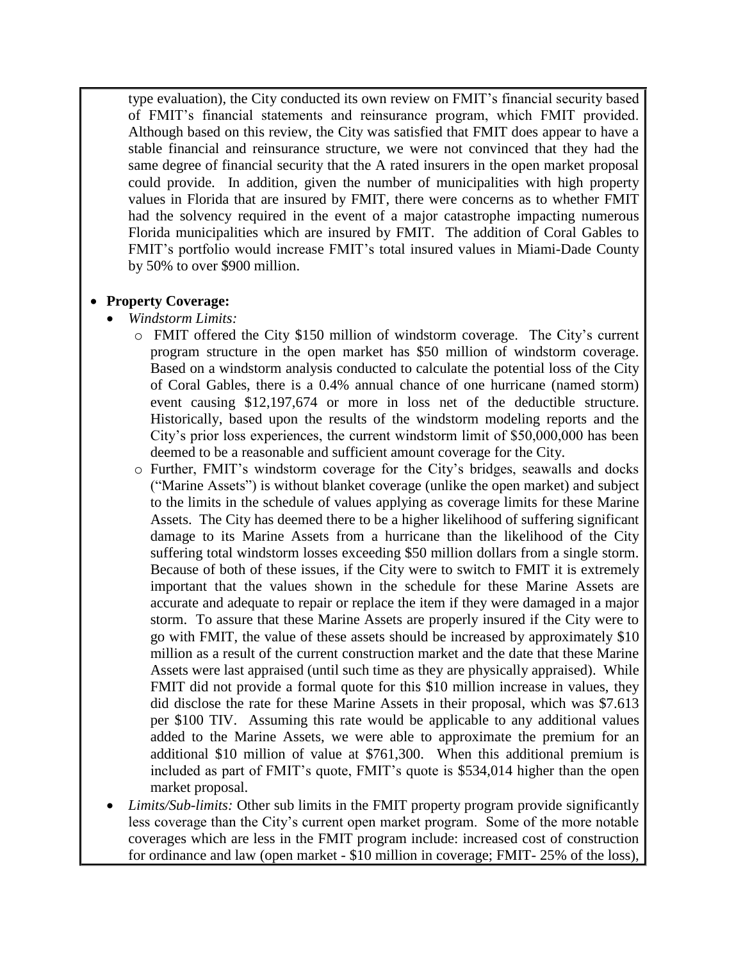type evaluation), the City conducted its own review on FMIT's financial security based of FMIT's financial statements and reinsurance program, which FMIT provided. Although based on this review, the City was satisfied that FMIT does appear to have a stable financial and reinsurance structure, we were not convinced that they had the same degree of financial security that the A rated insurers in the open market proposal could provide. In addition, given the number of municipalities with high property values in Florida that are insured by FMIT, there were concerns as to whether FMIT had the solvency required in the event of a major catastrophe impacting numerous Florida municipalities which are insured by FMIT. The addition of Coral Gables to FMIT's portfolio would increase FMIT's total insured values in Miami-Dade County by 50% to over \$900 million.

## **Property Coverage:**

- *Windstorm Limits:*
	- o FMIT offered the City \$150 million of windstorm coverage. The City's current program structure in the open market has \$50 million of windstorm coverage. Based on a windstorm analysis conducted to calculate the potential loss of the City of Coral Gables, there is a 0.4% annual chance of one hurricane (named storm) event causing \$12,197,674 or more in loss net of the deductible structure. Historically, based upon the results of the windstorm modeling reports and the City's prior loss experiences, the current windstorm limit of \$50,000,000 has been deemed to be a reasonable and sufficient amount coverage for the City.
	- o Further, FMIT's windstorm coverage for the City's bridges, seawalls and docks ("Marine Assets") is without blanket coverage (unlike the open market) and subject to the limits in the schedule of values applying as coverage limits for these Marine Assets. The City has deemed there to be a higher likelihood of suffering significant damage to its Marine Assets from a hurricane than the likelihood of the City suffering total windstorm losses exceeding \$50 million dollars from a single storm. Because of both of these issues, if the City were to switch to FMIT it is extremely important that the values shown in the schedule for these Marine Assets are accurate and adequate to repair or replace the item if they were damaged in a major storm. To assure that these Marine Assets are properly insured if the City were to go with FMIT, the value of these assets should be increased by approximately \$10 million as a result of the current construction market and the date that these Marine Assets were last appraised (until such time as they are physically appraised). While FMIT did not provide a formal quote for this \$10 million increase in values, they did disclose the rate for these Marine Assets in their proposal, which was \$7.613 per \$100 TIV. Assuming this rate would be applicable to any additional values added to the Marine Assets, we were able to approximate the premium for an additional \$10 million of value at \$761,300. When this additional premium is included as part of FMIT's quote, FMIT's quote is \$534,014 higher than the open market proposal.
- *Limits/Sub*-*limits:* Other sub limits in the FMIT property program provide significantly less coverage than the City's current open market program. Some of the more notable coverages which are less in the FMIT program include: increased cost of construction for ordinance and law (open market - \$10 million in coverage; FMIT- 25% of the loss),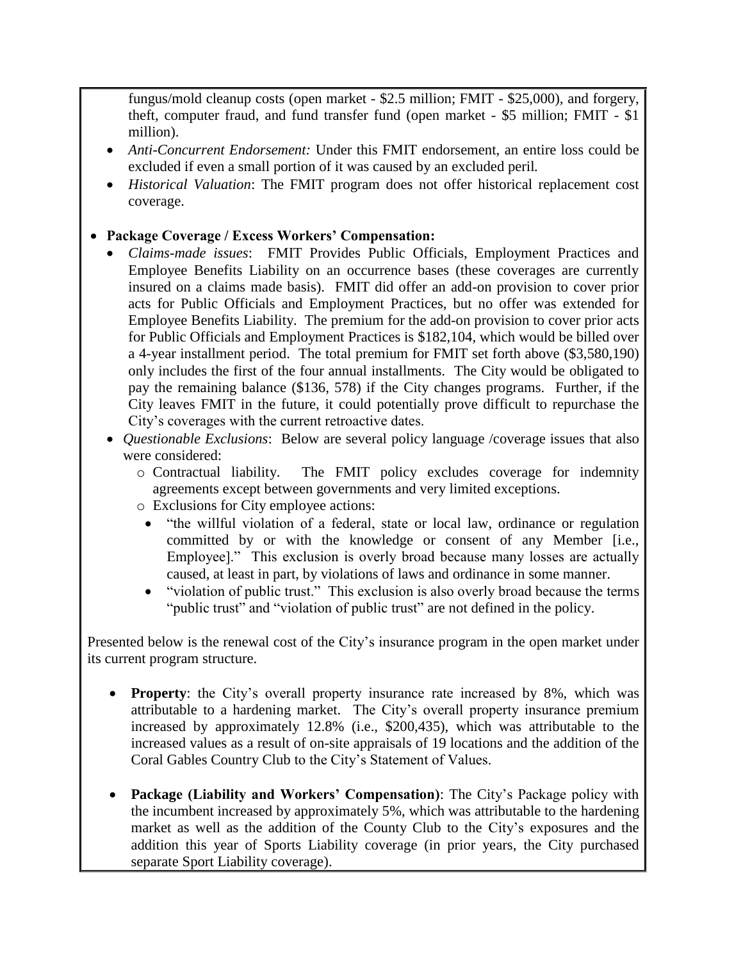fungus/mold cleanup costs (open market - \$2.5 million; FMIT - \$25,000), and forgery, theft, computer fraud, and fund transfer fund (open market - \$5 million; FMIT - \$1 million).

- *Anti-Concurrent Endorsement:* Under this FMIT endorsement, an entire loss could be excluded if even a small portion of it was caused by an excluded peril*.*
- *Historical Valuation*: The FMIT program does not offer historical replacement cost coverage.

## **Package Coverage / Excess Workers' Compensation:**

- *Claims-made issues*: FMIT Provides Public Officials, Employment Practices and Employee Benefits Liability on an occurrence bases (these coverages are currently insured on a claims made basis). FMIT did offer an add-on provision to cover prior acts for Public Officials and Employment Practices, but no offer was extended for Employee Benefits Liability. The premium for the add-on provision to cover prior acts for Public Officials and Employment Practices is \$182,104, which would be billed over a 4-year installment period. The total premium for FMIT set forth above (\$3,580,190) only includes the first of the four annual installments. The City would be obligated to pay the remaining balance (\$136, 578) if the City changes programs. Further, if the City leaves FMIT in the future, it could potentially prove difficult to repurchase the City's coverages with the current retroactive dates.
- *Questionable Exclusions*: Below are several policy language /coverage issues that also were considered:
	- o Contractual liability. The FMIT policy excludes coverage for indemnity agreements except between governments and very limited exceptions.
	- o Exclusions for City employee actions:
		- "the willful violation of a federal, state or local law, ordinance or regulation committed by or with the knowledge or consent of any Member [i.e., Employee]." This exclusion is overly broad because many losses are actually caused, at least in part, by violations of laws and ordinance in some manner.
		- "violation of public trust." This exclusion is also overly broad because the terms "*public trust*" and "violation of public trust" are not defined in the policy.

Presented below is the renewal cost of the City's insurance program in the open market under its current program structure.

- **Property**: the City's overall property insurance rate increased by 8%, which was attributable to a hardening market. The City's overall property insurance premium increased by approximately 12.8% (i.e., \$200,435), which was attributable to the increased values as a result of on-site appraisals of 19 locations and the addition of the Coral Gables Country Club to the City's Statement of Values.
- **Package (Liability and Workers' Compensation)**: The City's Package policy with the incumbent increased by approximately 5%, which was attributable to the hardening market as well as the addition of the County Club to the City's exposures and the addition this year of Sports Liability coverage (in prior years, the City purchased separate Sport Liability coverage).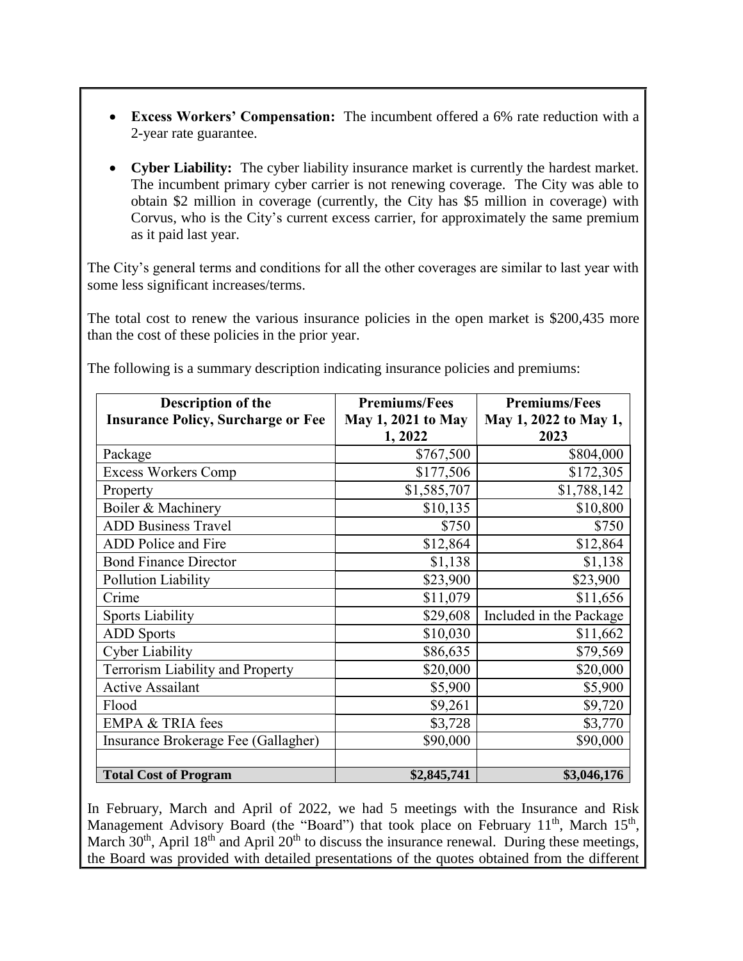- **Excess Workers' Compensation:** The incumbent offered a 6% rate reduction with a 2-year rate guarantee.
- **Cyber Liability:** The cyber liability insurance market is currently the hardest market. The incumbent primary cyber carrier is not renewing coverage. The City was able to obtain \$2 million in coverage (currently, the City has \$5 million in coverage) with Corvus, who is the City's current excess carrier, for approximately the same premium as it paid last year.

The City's general terms and conditions for all the other coverages are similar to last year with some less significant increases/terms.

The total cost to renew the various insurance policies in the open market is \$200,435 more than the cost of these policies in the prior year.

| Description of the                        | <b>Premiums/Fees</b>      | <b>Premiums/Fees</b>    |
|-------------------------------------------|---------------------------|-------------------------|
| <b>Insurance Policy, Surcharge or Fee</b> | <b>May 1, 2021 to May</b> | May 1, 2022 to May 1,   |
|                                           | 1,2022                    | 2023                    |
| Package                                   | \$767,500                 | \$804,000               |
| <b>Excess Workers Comp</b>                | \$177,506                 | \$172,305               |
| Property                                  | \$1,585,707               | \$1,788,142             |
| Boiler & Machinery                        | \$10,135                  | \$10,800                |
| <b>ADD Business Travel</b>                | \$750                     | \$750                   |
| ADD Police and Fire                       | \$12,864                  | \$12,864                |
| <b>Bond Finance Director</b>              | \$1,138                   | \$1,138                 |
| Pollution Liability                       | \$23,900                  | \$23,900                |
| Crime                                     | \$11,079                  | \$11,656                |
| <b>Sports Liability</b>                   | \$29,608                  | Included in the Package |
| <b>ADD</b> Sports                         | \$10,030                  | \$11,662                |
| <b>Cyber Liability</b>                    | \$86,635                  | \$79,569                |
| <b>Terrorism Liability and Property</b>   | \$20,000                  | \$20,000                |
| <b>Active Assailant</b>                   | \$5,900                   | \$5,900                 |
| Flood                                     | \$9,261                   | \$9,720                 |
| <b>EMPA &amp; TRIA fees</b>               | \$3,728                   | \$3,770                 |
| Insurance Brokerage Fee (Gallagher)       | \$90,000                  | \$90,000                |
|                                           |                           |                         |
| <b>Total Cost of Program</b>              | \$2,845,741               | \$3,046,176             |

The following is a summary description indicating insurance policies and premiums:

In February, March and April of 2022, we had 5 meetings with the Insurance and Risk Management Advisory Board (the "Board") that took place on February  $11<sup>th</sup>$ , March  $15<sup>th</sup>$ , March 30<sup>th</sup>, April 18<sup>th</sup> and April 20<sup>th</sup> to discuss the insurance renewal. During these meetings, the Board was provided with detailed presentations of the quotes obtained from the different